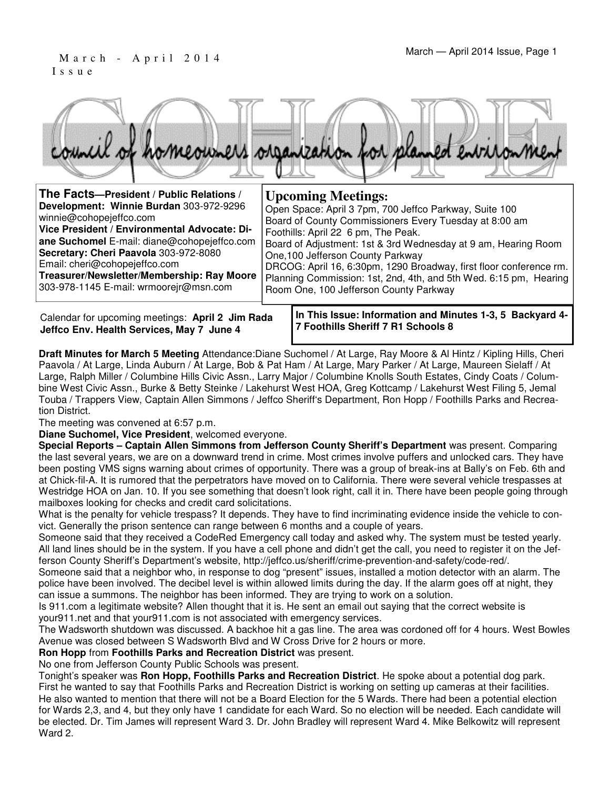#### March — April 2014 Issue, Page 1 I s s u e



| The Facts-President / Public Relations /     | <b>Upcoming Meetings:</b>                                          |
|----------------------------------------------|--------------------------------------------------------------------|
| Development: Winnie Burdan 303-972-9296      | Open Space: April 3 7pm, 700 Jeffco Parkway, Suite 100             |
| winnie@cohopejeffco.com                      | Board of County Commissioners Every Tuesday at 8:00 am             |
| Vice President / Environmental Advocate: Di- | Foothills: April 22 6 pm, The Peak.                                |
| ane Suchomel E-mail: diane@cohopejeffco.com  | Board of Adjustment: 1st & 3rd Wednesday at 9 am, Hearing Room     |
| Secretary: Cheri Paavola 303-972-8080        | One, 100 Jefferson County Parkway                                  |
| Email: cheri@cohopejeffco.com                | DRCOG: April 16, 6:30pm, 1290 Broadway, first floor conference rm. |
| Treasurer/Newsletter/Membership: Ray Moore   | Planning Commission: 1st, 2nd, 4th, and 5th Wed. 6:15 pm, Hearing  |
| 303-978-1145 E-mail: wrmoorejr@msn.com       | Room One, 100 Jefferson County Parkway                             |

Calendar for upcoming meetings: **April 2 Jim Rada Jeffco Env. Health Services, May 7 June 4**

**In This Issue: Information and Minutes 1-3, 5 Backyard 4- 7 Foothills Sheriff 7 R1 Schools 8** 

**Draft Minutes for March 5 Meeting** Attendance:Diane Suchomel / At Large, Ray Moore & Al Hintz / Kipling Hills, Cheri Paavola / At Large, Linda Auburn / At Large, Bob & Pat Ham / At Large, Mary Parker / At Large, Maureen Sielaff / At Large, Ralph Miller / Columbine Hills Civic Assn., Larry Major / Columbine Knolls South Estates, Cindy Coats / Columbine West Civic Assn., Burke & Betty Steinke / Lakehurst West HOA, Greg Kottcamp / Lakehurst West Filing 5, Jemal Touba / Trappers View, Captain Allen Simmons / Jeffco Sheriff's Department, Ron Hopp / Foothills Parks and Recreation District.

The meeting was convened at 6:57 p.m.

**Diane Suchomel, Vice President**, welcomed everyone.

**Special Reports – Captain Allen Simmons from Jefferson County Sheriff's Department** was present. Comparing the last several years, we are on a downward trend in crime. Most crimes involve puffers and unlocked cars. They have been posting VMS signs warning about crimes of opportunity. There was a group of break-ins at Bally's on Feb. 6th and at Chick-fil-A. It is rumored that the perpetrators have moved on to California. There were several vehicle trespasses at Westridge HOA on Jan. 10. If you see something that doesn't look right, call it in. There have been people going through mailboxes looking for checks and credit card solicitations.

What is the penalty for vehicle trespass? It depends. They have to find incriminating evidence inside the vehicle to convict. Generally the prison sentence can range between 6 months and a couple of years.

Someone said that they received a CodeRed Emergency call today and asked why. The system must be tested yearly. All land lines should be in the system. If you have a cell phone and didn't get the call, you need to register it on the Jefferson County Sheriff's Department's website, http://jeffco.us/sheriff/crime-prevention-and-safety/code-red/.

Someone said that a neighbor who, in response to dog "present" issues, installed a motion detector with an alarm. The police have been involved. The decibel level is within allowed limits during the day. If the alarm goes off at night, they can issue a summons. The neighbor has been informed. They are trying to work on a solution.

Is 911.com a legitimate website? Allen thought that it is. He sent an email out saying that the correct website is your911.net and that your911.com is not associated with emergency services.

The Wadsworth shutdown was discussed. A backhoe hit a gas line. The area was cordoned off for 4 hours. West Bowles Avenue was closed between S Wadsworth Blvd and W Cross Drive for 2 hours or more.

**Ron Hopp** from **Foothills Parks and Recreation District** was present.

No one from Jefferson County Public Schools was present.

Tonight's speaker was **Ron Hopp, Foothills Parks and Recreation District**. He spoke about a potential dog park. First he wanted to say that Foothills Parks and Recreation District is working on setting up cameras at their facilities. He also wanted to mention that there will not be a Board Election for the 5 Wards. There had been a potential election for Wards 2,3, and 4, but they only have 1 candidate for each Ward. So no election will be needed. Each candidate will be elected. Dr. Tim James will represent Ward 3. Dr. John Bradley will represent Ward 4. Mike Belkowitz will represent Ward 2.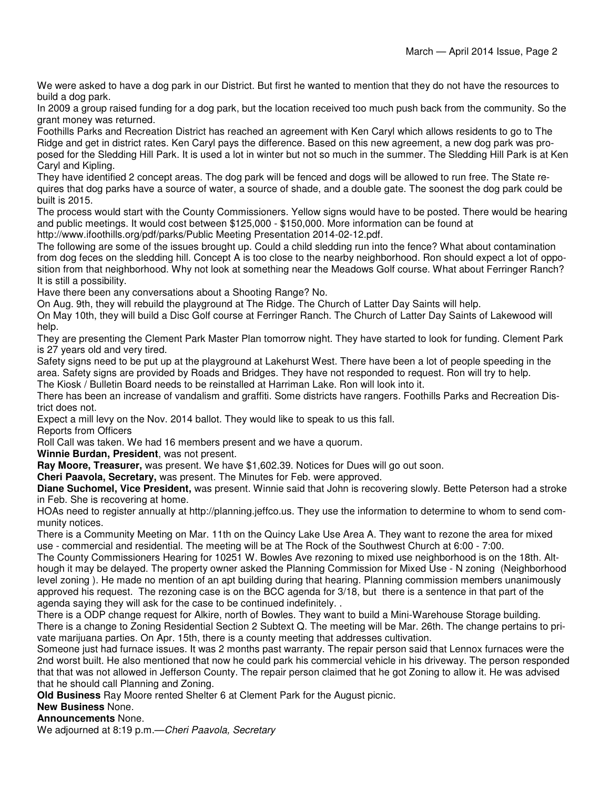We were asked to have a dog park in our District. But first he wanted to mention that they do not have the resources to build a dog park.

In 2009 a group raised funding for a dog park, but the location received too much push back from the community. So the grant money was returned.

Foothills Parks and Recreation District has reached an agreement with Ken Caryl which allows residents to go to The Ridge and get in district rates. Ken Caryl pays the difference. Based on this new agreement, a new dog park was proposed for the Sledding Hill Park. It is used a lot in winter but not so much in the summer. The Sledding Hill Park is at Ken Caryl and Kipling.

They have identified 2 concept areas. The dog park will be fenced and dogs will be allowed to run free. The State requires that dog parks have a source of water, a source of shade, and a double gate. The soonest the dog park could be built is 2015.

The process would start with the County Commissioners. Yellow signs would have to be posted. There would be hearing and public meetings. It would cost between \$125,000 - \$150,000. More information can be found at

http://www.ifoothills.org/pdf/parks/Public Meeting Presentation 2014-02-12.pdf.

The following are some of the issues brought up. Could a child sledding run into the fence? What about contamination from dog feces on the sledding hill. Concept A is too close to the nearby neighborhood. Ron should expect a lot of opposition from that neighborhood. Why not look at something near the Meadows Golf course. What about Ferringer Ranch? It is still a possibility.

Have there been any conversations about a Shooting Range? No.

On Aug. 9th, they will rebuild the playground at The Ridge. The Church of Latter Day Saints will help.

On May 10th, they will build a Disc Golf course at Ferringer Ranch. The Church of Latter Day Saints of Lakewood will help.

They are presenting the Clement Park Master Plan tomorrow night. They have started to look for funding. Clement Park is 27 years old and very tired.

Safety signs need to be put up at the playground at Lakehurst West. There have been a lot of people speeding in the area. Safety signs are provided by Roads and Bridges. They have not responded to request. Ron will try to help. The Kiosk / Bulletin Board needs to be reinstalled at Harriman Lake. Ron will look into it.

There has been an increase of vandalism and graffiti. Some districts have rangers. Foothills Parks and Recreation District does not.

Expect a mill levy on the Nov. 2014 ballot. They would like to speak to us this fall.

Reports from Officers

Roll Call was taken. We had 16 members present and we have a quorum.

**Winnie Burdan, President**, was not present.

**Ray Moore, Treasurer,** was present. We have \$1,602.39. Notices for Dues will go out soon.

**Cheri Paavola, Secretary,** was present. The Minutes for Feb. were approved.

**Diane Suchomel, Vice President,** was present. Winnie said that John is recovering slowly. Bette Peterson had a stroke in Feb. She is recovering at home.

HOAs need to register annually at http://planning.jeffco.us. They use the information to determine to whom to send community notices.

There is a Community Meeting on Mar. 11th on the Quincy Lake Use Area A. They want to rezone the area for mixed use - commercial and residential. The meeting will be at The Rock of the Southwest Church at 6:00 - 7:00.

The County Commissioners Hearing for 10251 W. Bowles Ave rezoning to mixed use neighborhood is on the 18th. Although it may be delayed. The property owner asked the Planning Commission for Mixed Use - N zoning (Neighborhood level zoning ). He made no mention of an apt building during that hearing. Planning commission members unanimously approved his request. The rezoning case is on the BCC agenda for 3/18, but there is a sentence in that part of the agenda saying they will ask for the case to be continued indefinitely. .

There is a ODP change request for Alkire, north of Bowles. They want to build a Mini-Warehouse Storage building. There is a change to Zoning Residential Section 2 Subtext Q. The meeting will be Mar. 26th. The change pertains to private marijuana parties. On Apr. 15th, there is a county meeting that addresses cultivation.

Someone just had furnace issues. It was 2 months past warranty. The repair person said that Lennox furnaces were the 2nd worst built. He also mentioned that now he could park his commercial vehicle in his driveway. The person responded that that was not allowed in Jefferson County. The repair person claimed that he got Zoning to allow it. He was advised that he should call Planning and Zoning.

**Old Business** Ray Moore rented Shelter 6 at Clement Park for the August picnic.

**New Business** None.

**Announcements** None.

We adjourned at 8:19 p.m. - Cheri Paavola, Secretary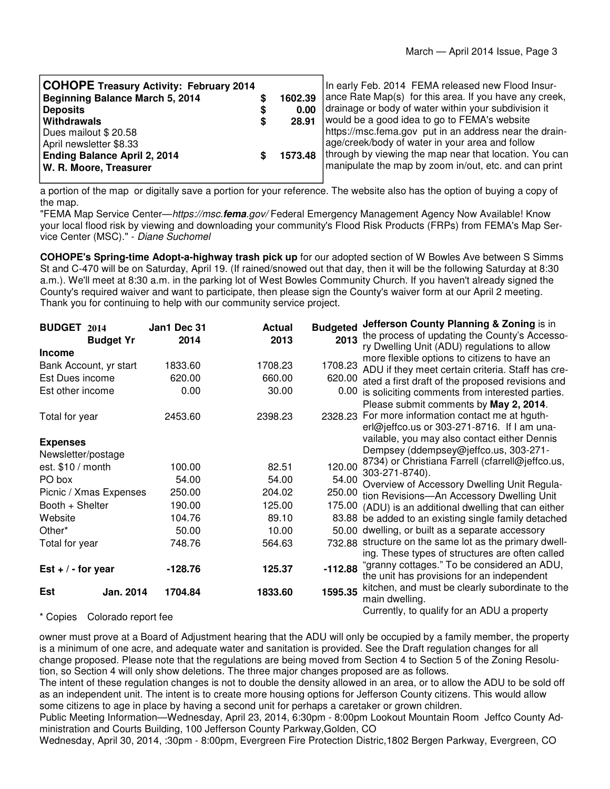| <b>COHOPE Treasury Activity: February 2014</b> |         | In early Feb. 2014 FEMA released new Flood Insur-                |
|------------------------------------------------|---------|------------------------------------------------------------------|
| <b>Beginning Balance March 5, 2014</b>         | 1602.39 | ance Rate Map(s) for this area. If you have any creek,           |
| <b>Deposits</b>                                | 0.00    | drainage or body of water within your subdivision it             |
| Withdrawals                                    | 28.91   | would be a good idea to go to FEMA's website                     |
| Dues mailout \$20.58                           |         | https://msc.fema.gov put in an address near the drain-           |
| April newsletter \$8.33                        |         | age/creek/body of water in your area and follow                  |
| <b>Ending Balance April 2, 2014</b>            |         | 1573.48   through by viewing the map near that location. You can |
| W. R. Moore, Treasurer                         |         | manipulate the map by zoom in/out, etc. and can print            |

a portion of the map or digitally save a portion for your reference. The website also has the option of buying a copy of the map.

"FEMA Map Service Center—https://msc.**fema**.gov/ Federal Emergency Management Agency Now Available! Know your local flood risk by viewing and downloading your community's Flood Risk Products (FRPs) from FEMA's Map Service Center (MSC)." - Diane Suchomel

**COHOPE's Spring-time Adopt-a-highway trash pick up** for our adopted section of W Bowles Ave between S Simms St and C-470 will be on Saturday, April 19. (If rained/snowed out that day, then it will be the following Saturday at 8:30 a.m.). We'll meet at 8:30 a.m. in the parking lot of West Bowles Community Church. If you haven't already signed the County's required waiver and want to participate, then please sign the County's waiver form at our April 2 meeting. Thank you for continuing to help with our community service project.

| <b>BUDGET 2014</b> |                                | Jan1 Dec 31 | <b>Actual</b> | <b>Budgeted</b> | Jefferson County Planning & Zoning is in                                                    |
|--------------------|--------------------------------|-------------|---------------|-----------------|---------------------------------------------------------------------------------------------|
|                    | <b>Budget Yr</b>               | 2014        | 2013          | 2013            | the process of updating the County's Accesso-                                               |
| <b>Income</b>      |                                |             |               |                 | ry Dwelling Unit (ADU) regulations to allow<br>more flexible options to citizens to have an |
|                    | Bank Account, yr start         | 1833.60     | 1708.23       | 1708.23         | ADU if they meet certain criteria. Staff has cre-                                           |
| Est Dues income    |                                | 620.00      | 660.00        | 620.00          | ated a first draft of the proposed revisions and                                            |
| Est other income   |                                | 0.00        | 30.00         | 0.00            | is soliciting comments from interested parties.                                             |
|                    |                                |             |               |                 | Please submit comments by May 2, 2014.                                                      |
| Total for year     |                                | 2453.60     | 2398.23       |                 | 2328.23 For more information contact me at hguth-                                           |
|                    |                                |             |               |                 | erl@jeffco.us or 303-271-8716. If I am una-                                                 |
| <b>Expenses</b>    |                                |             |               |                 | vailable, you may also contact either Dennis                                                |
| Newsletter/postage |                                |             |               |                 | Dempsey (ddempsey@jeffco.us, 303-271-                                                       |
| est. $$10 / month$ |                                | 100.00      | 82.51         | 120.00          | 8734) or Christiana Farrell (cfarrell@jeffco.us,<br>303-271-8740).                          |
| PO box             |                                | 54.00       | 54.00         |                 | 54.00 Overview of Accessory Dwelling Unit Regula-                                           |
|                    | Picnic / Xmas Expenses         | 250.00      | 204.02        | 250.00          | tion Revisions-An Accessory Dwelling Unit                                                   |
| Booth + Shelter    |                                | 190.00      | 125.00        |                 | 175.00 (ADU) is an additional dwelling that can either                                      |
| Website            |                                | 104.76      | 89.10         |                 | 83.88 be added to an existing single family detached                                        |
| Other*             |                                | 50.00       | 10.00         |                 | 50.00 dwelling, or built as a separate accessory                                            |
| Total for year     |                                | 748.76      | 564.63        |                 | 732.88 structure on the same lot as the primary dwell-                                      |
|                    |                                |             |               |                 | ing. These types of structures are often called                                             |
| Est $+/-$ for year |                                | -128.76     | 125.37        | $-112.88$       | "granny cottages." To be considered an ADU,<br>the unit has provisions for an independent   |
| Est                | Jan. 2014                      | 1704.84     | 1833.60       | 1595.35         | kitchen, and must be clearly subordinate to the                                             |
|                    |                                |             |               |                 | main dwelling.                                                                              |
|                    | $*$ Canisa Calarada ranart faa |             |               |                 | Currently, to qualify for an ADU a property                                                 |

\* Copies Colorado report fee

owner must prove at a Board of Adjustment hearing that the ADU will only be occupied by a family member, the property is a minimum of one acre, and adequate water and sanitation is provided. See the Draft regulation changes for all change proposed. Please note that the regulations are being moved from Section 4 to Section 5 of the Zoning Resolution, so Section 4 will only show deletions. The three major changes proposed are as follows.

The intent of these regulation changes is not to double the density allowed in an area, or to allow the ADU to be sold off as an independent unit. The intent is to create more housing options for Jefferson County citizens. This would allow some citizens to age in place by having a second unit for perhaps a caretaker or grown children.

Public Meeting Information—Wednesday, April 23, 2014, 6:30pm - 8:00pm Lookout Mountain Room Jeffco County Administration and Courts Building, 100 Jefferson County Parkway,Golden, CO

Wednesday, April 30, 2014, :30pm - 8:00pm, Evergreen Fire Protection Distric,1802 Bergen Parkway, Evergreen, CO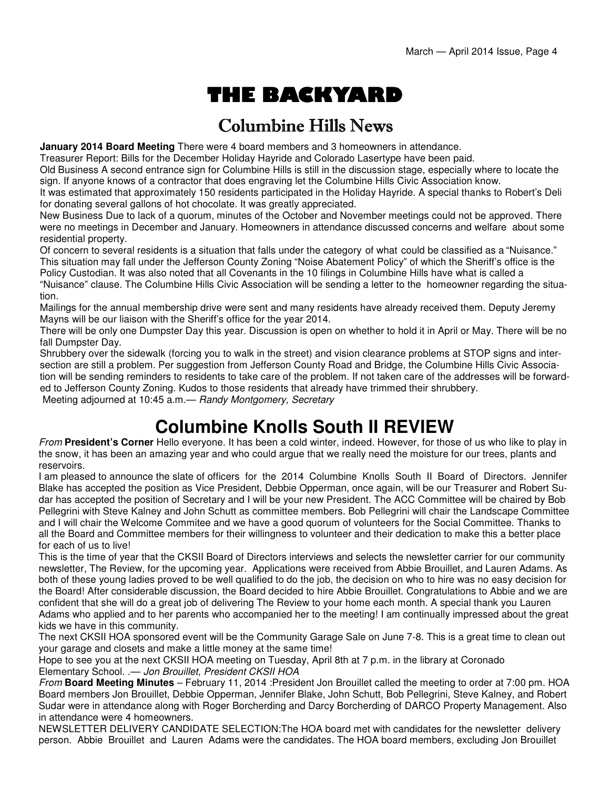# THE BACKYARD

### Columbine Hills News

**January 2014 Board Meeting** There were 4 board members and 3 homeowners in attendance.

Treasurer Report: Bills for the December Holiday Hayride and Colorado Lasertype have been paid.

Old Business A second entrance sign for Columbine Hills is still in the discussion stage, especially where to locate the sign. If anyone knows of a contractor that does engraving let the Columbine Hills Civic Association know.

It was estimated that approximately 150 residents participated in the Holiday Hayride. A special thanks to Robert's Deli for donating several gallons of hot chocolate. It was greatly appreciated.

New Business Due to lack of a quorum, minutes of the October and November meetings could not be approved. There were no meetings in December and January. Homeowners in attendance discussed concerns and welfare about some residential property.

Of concern to several residents is a situation that falls under the category of what could be classified as a "Nuisance." This situation may fall under the Jefferson County Zoning "Noise Abatement Policy" of which the Sheriff's office is the Policy Custodian. It was also noted that all Covenants in the 10 filings in Columbine Hills have what is called a

"Nuisance" clause. The Columbine Hills Civic Association will be sending a letter to the homeowner regarding the situation.

Mailings for the annual membership drive were sent and many residents have already received them. Deputy Jeremy Mayns will be our liaison with the Sheriff's office for the year 2014.

There will be only one Dumpster Day this year. Discussion is open on whether to hold it in April or May. There will be no fall Dumpster Day.

Shrubbery over the sidewalk (forcing you to walk in the street) and vision clearance problems at STOP signs and intersection are still a problem. Per suggestion from Jefferson County Road and Bridge, the Columbine Hills Civic Association will be sending reminders to residents to take care of the problem. If not taken care of the addresses will be forwarded to Jefferson County Zoning. Kudos to those residents that already have trimmed their shrubbery.

Meeting adjourned at 10:45 a.m.— Randy Montgomery, Secretary

### **Columbine Knolls South II REVIEW**

From **President's Corner** Hello everyone. It has been a cold winter, indeed. However, for those of us who like to play in the snow, it has been an amazing year and who could argue that we really need the moisture for our trees, plants and reservoirs.

I am pleased to announce the slate of officers for the 2014 Columbine Knolls South II Board of Directors. Jennifer Blake has accepted the position as Vice President, Debbie Opperman, once again, will be our Treasurer and Robert Sudar has accepted the position of Secretary and I will be your new President. The ACC Committee will be chaired by Bob Pellegrini with Steve Kalney and John Schutt as committee members. Bob Pellegrini will chair the Landscape Committee and I will chair the Welcome Commitee and we have a good quorum of volunteers for the Social Committee. Thanks to all the Board and Committee members for their willingness to volunteer and their dedication to make this a better place for each of us to live!

This is the time of year that the CKSII Board of Directors interviews and selects the newsletter carrier for our community newsletter, The Review, for the upcoming year. Applications were received from Abbie Brouillet, and Lauren Adams. As both of these young ladies proved to be well qualified to do the job, the decision on who to hire was no easy decision for the Board! After considerable discussion, the Board decided to hire Abbie Brouillet. Congratulations to Abbie and we are confident that she will do a great job of delivering The Review to your home each month. A special thank you Lauren Adams who applied and to her parents who accompanied her to the meeting! I am continually impressed about the great kids we have in this community.

The next CKSII HOA sponsored event will be the Community Garage Sale on June 7-8. This is a great time to clean out your garage and closets and make a little money at the same time!

Hope to see you at the next CKSII HOA meeting on Tuesday, April 8th at 7 p.m. in the library at Coronado Elementary School. .- Jon Brouillet, President CKSII HOA

From **Board Meeting Minutes** – February 11, 2014 :President Jon Brouillet called the meeting to order at 7:00 pm. HOA Board members Jon Brouillet, Debbie Opperman, Jennifer Blake, John Schutt, Bob Pellegrini, Steve Kalney, and Robert Sudar were in attendance along with Roger Borcherding and Darcy Borcherding of DARCO Property Management. Also in attendance were 4 homeowners.

NEWSLETTER DELIVERY CANDIDATE SELECTION:The HOA board met with candidates for the newsletter delivery person. Abbie Brouillet and Lauren Adams were the candidates. The HOA board members, excluding Jon Brouillet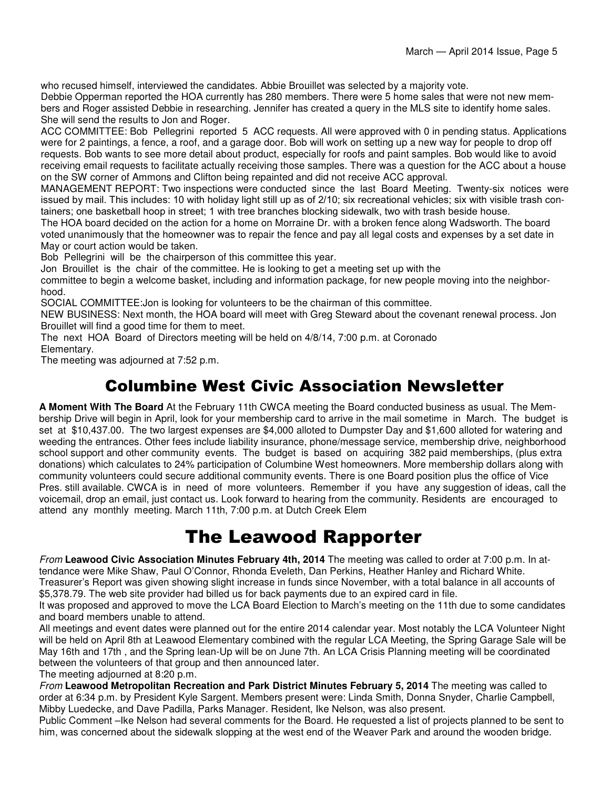who recused himself, interviewed the candidates. Abbie Brouillet was selected by a majority vote.

Debbie Opperman reported the HOA currently has 280 members. There were 5 home sales that were not new members and Roger assisted Debbie in researching. Jennifer has created a query in the MLS site to identify home sales. She will send the results to Jon and Roger.

ACC COMMITTEE: Bob Pellegrini reported 5 ACC requests. All were approved with 0 in pending status. Applications were for 2 paintings, a fence, a roof, and a garage door. Bob will work on setting up a new way for people to drop off requests. Bob wants to see more detail about product, especially for roofs and paint samples. Bob would like to avoid receiving email requests to facilitate actually receiving those samples. There was a question for the ACC about a house on the SW corner of Ammons and Clifton being repainted and did not receive ACC approval.

MANAGEMENT REPORT: Two inspections were conducted since the last Board Meeting. Twenty-six notices were issued by mail. This includes: 10 with holiday light still up as of 2/10; six recreational vehicles; six with visible trash containers; one basketball hoop in street; 1 with tree branches blocking sidewalk, two with trash beside house.

The HOA board decided on the action for a home on Morraine Dr. with a broken fence along Wadsworth. The board voted unanimously that the homeowner was to repair the fence and pay all legal costs and expenses by a set date in May or court action would be taken.

Bob Pellegrini will be the chairperson of this committee this year.

Jon Brouillet is the chair of the committee. He is looking to get a meeting set up with the

committee to begin a welcome basket, including and information package, for new people moving into the neighborhood.

SOCIAL COMMITTEE:Jon is looking for volunteers to be the chairman of this committee.

NEW BUSINESS: Next month, the HOA board will meet with Greg Steward about the covenant renewal process. Jon Brouillet will find a good time for them to meet.

The next HOA Board of Directors meeting will be held on 4/8/14, 7:00 p.m. at Coronado

Elementary.

The meeting was adjourned at 7:52 p.m.

#### Columbine West Civic Association Newsletter

**A Moment With The Board** At the February 11th CWCA meeting the Board conducted business as usual. The Membership Drive will begin in April, look for your membership card to arrive in the mail sometime in March. The budget is set at \$10,437.00. The two largest expenses are \$4,000 alloted to Dumpster Day and \$1,600 alloted for watering and weeding the entrances. Other fees include liability insurance, phone/message service, membership drive, neighborhood school support and other community events. The budget is based on acquiring 382 paid memberships, (plus extra donations) which calculates to 24% participation of Columbine West homeowners. More membership dollars along with community volunteers could secure additional community events. There is one Board position plus the office of Vice Pres. still available. CWCA is in need of more volunteers. Remember if you have any suggestion of ideas, call the voicemail, drop an email, just contact us. Look forward to hearing from the community. Residents are encouraged to attend any monthly meeting. March 11th, 7:00 p.m. at Dutch Creek Elem

## The Leawood Rapporter

From **Leawood Civic Association Minutes February 4th, 2014** The meeting was called to order at 7:00 p.m. In attendance were Mike Shaw, Paul O'Connor, Rhonda Eveleth, Dan Perkins, Heather Hanley and Richard White. Treasurer's Report was given showing slight increase in funds since November, with a total balance in all accounts of \$5,378.79. The web site provider had billed us for back payments due to an expired card in file.

It was proposed and approved to move the LCA Board Election to March's meeting on the 11th due to some candidates and board members unable to attend.

All meetings and event dates were planned out for the entire 2014 calendar year. Most notably the LCA Volunteer Night will be held on April 8th at Leawood Elementary combined with the regular LCA Meeting, the Spring Garage Sale will be May 16th and 17th , and the Spring lean-Up will be on June 7th. An LCA Crisis Planning meeting will be coordinated between the volunteers of that group and then announced later.

The meeting adjourned at 8:20 p.m.

From **Leawood Metropolitan Recreation and Park District Minutes February 5, 2014** The meeting was called to order at 6:34 p.m. by President Kyle Sargent. Members present were: Linda Smith, Donna Snyder, Charlie Campbell, Mibby Luedecke, and Dave Padilla, Parks Manager. Resident, Ike Nelson, was also present.

Public Comment –Ike Nelson had several comments for the Board. He requested a list of projects planned to be sent to him, was concerned about the sidewalk slopping at the west end of the Weaver Park and around the wooden bridge.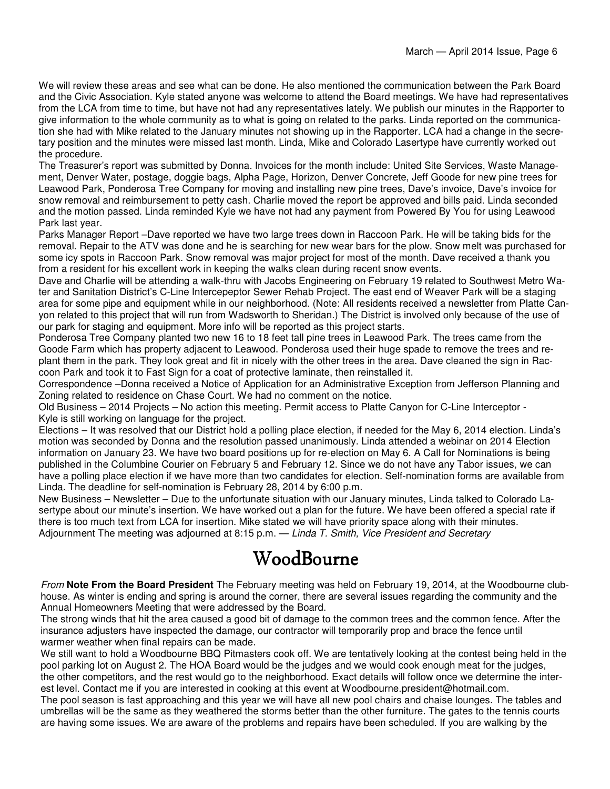We will review these areas and see what can be done. He also mentioned the communication between the Park Board and the Civic Association. Kyle stated anyone was welcome to attend the Board meetings. We have had representatives from the LCA from time to time, but have not had any representatives lately. We publish our minutes in the Rapporter to give information to the whole community as to what is going on related to the parks. Linda reported on the communication she had with Mike related to the January minutes not showing up in the Rapporter. LCA had a change in the secretary position and the minutes were missed last month. Linda, Mike and Colorado Lasertype have currently worked out the procedure.

The Treasurer's report was submitted by Donna. Invoices for the month include: United Site Services, Waste Management, Denver Water, postage, doggie bags, Alpha Page, Horizon, Denver Concrete, Jeff Goode for new pine trees for Leawood Park, Ponderosa Tree Company for moving and installing new pine trees, Dave's invoice, Dave's invoice for snow removal and reimbursement to petty cash. Charlie moved the report be approved and bills paid. Linda seconded and the motion passed. Linda reminded Kyle we have not had any payment from Powered By You for using Leawood Park last year.

Parks Manager Report –Dave reported we have two large trees down in Raccoon Park. He will be taking bids for the removal. Repair to the ATV was done and he is searching for new wear bars for the plow. Snow melt was purchased for some icy spots in Raccoon Park. Snow removal was major project for most of the month. Dave received a thank you from a resident for his excellent work in keeping the walks clean during recent snow events.

Dave and Charlie will be attending a walk-thru with Jacobs Engineering on February 19 related to Southwest Metro Water and Sanitation District's C-Line Intercepeptor Sewer Rehab Project. The east end of Weaver Park will be a staging area for some pipe and equipment while in our neighborhood. (Note: All residents received a newsletter from Platte Canyon related to this project that will run from Wadsworth to Sheridan.) The District is involved only because of the use of our park for staging and equipment. More info will be reported as this project starts.

Ponderosa Tree Company planted two new 16 to 18 feet tall pine trees in Leawood Park. The trees came from the Goode Farm which has property adjacent to Leawood. Ponderosa used their huge spade to remove the trees and replant them in the park. They look great and fit in nicely with the other trees in the area. Dave cleaned the sign in Raccoon Park and took it to Fast Sign for a coat of protective laminate, then reinstalled it.

Correspondence –Donna received a Notice of Application for an Administrative Exception from Jefferson Planning and Zoning related to residence on Chase Court. We had no comment on the notice.

Old Business – 2014 Projects – No action this meeting. Permit access to Platte Canyon for C-Line Interceptor - Kyle is still working on language for the project.

Elections – It was resolved that our District hold a polling place election, if needed for the May 6, 2014 election. Linda's motion was seconded by Donna and the resolution passed unanimously. Linda attended a webinar on 2014 Election information on January 23. We have two board positions up for re-election on May 6. A Call for Nominations is being published in the Columbine Courier on February 5 and February 12. Since we do not have any Tabor issues, we can have a polling place election if we have more than two candidates for election. Self-nomination forms are available from Linda. The deadline for self-nomination is February 28, 2014 by 6:00 p.m.

New Business – Newsletter – Due to the unfortunate situation with our January minutes, Linda talked to Colorado Lasertype about our minute's insertion. We have worked out a plan for the future. We have been offered a special rate if there is too much text from LCA for insertion. Mike stated we will have priority space along with their minutes. Adjournment The meeting was adjourned at 8:15 p.m. — Linda T. Smith, Vice President and Secretary

## WoodBourne

From **Note From the Board President** The February meeting was held on February 19, 2014, at the Woodbourne clubhouse. As winter is ending and spring is around the corner, there are several issues regarding the community and the Annual Homeowners Meeting that were addressed by the Board.

The strong winds that hit the area caused a good bit of damage to the common trees and the common fence. After the insurance adjusters have inspected the damage, our contractor will temporarily prop and brace the fence until warmer weather when final repairs can be made.

We still want to hold a Woodbourne BBQ Pitmasters cook off. We are tentatively looking at the contest being held in the pool parking lot on August 2. The HOA Board would be the judges and we would cook enough meat for the judges, the other competitors, and the rest would go to the neighborhood. Exact details will follow once we determine the interest level. Contact me if you are interested in cooking at this event at Woodbourne.president@hotmail.com. The pool season is fast approaching and this year we will have all new pool chairs and chaise lounges. The tables and

umbrellas will be the same as they weathered the storms better than the other furniture. The gates to the tennis courts are having some issues. We are aware of the problems and repairs have been scheduled. If you are walking by the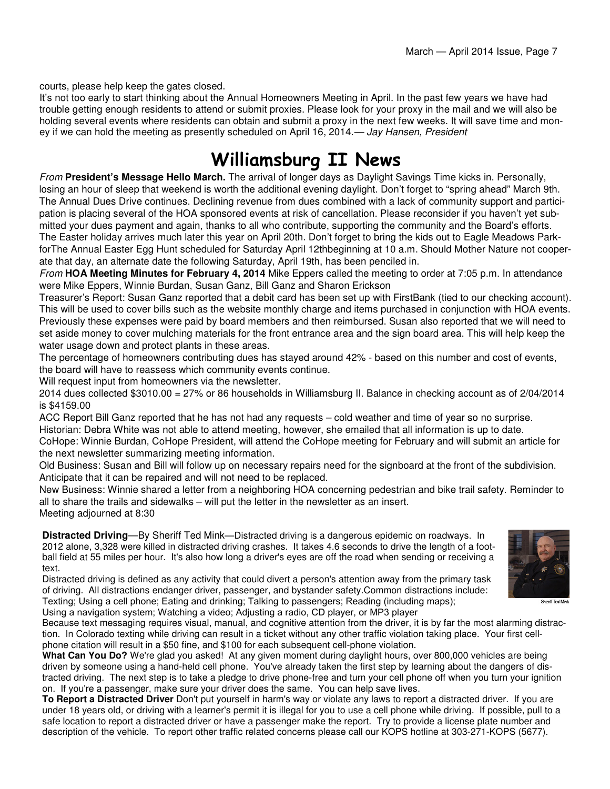courts, please help keep the gates closed.

It's not too early to start thinking about the Annual Homeowners Meeting in April. In the past few years we have had trouble getting enough residents to attend or submit proxies. Please look for your proxy in the mail and we will also be holding several events where residents can obtain and submit a proxy in the next few weeks. It will save time and money if we can hold the meeting as presently scheduled on April 16, 2014. - Jay Hansen, President

## Williamsburg II News

From **President's Message Hello March.** The arrival of longer days as Daylight Savings Time kicks in. Personally, losing an hour of sleep that weekend is worth the additional evening daylight. Don't forget to "spring ahead" March 9th. The Annual Dues Drive continues. Declining revenue from dues combined with a lack of community support and participation is placing several of the HOA sponsored events at risk of cancellation. Please reconsider if you haven't yet submitted your dues payment and again, thanks to all who contribute, supporting the community and the Board's efforts. The Easter holiday arrives much later this year on April 20th. Don't forget to bring the kids out to Eagle Meadows ParkforThe Annual Easter Egg Hunt scheduled for Saturday April 12thbeginning at 10 a.m. Should Mother Nature not cooperate that day, an alternate date the following Saturday, April 19th, has been penciled in.

From **HOA Meeting Minutes for February 4, 2014** Mike Eppers called the meeting to order at 7:05 p.m. In attendance were Mike Eppers, Winnie Burdan, Susan Ganz, Bill Ganz and Sharon Erickson

Treasurer's Report: Susan Ganz reported that a debit card has been set up with FirstBank (tied to our checking account). This will be used to cover bills such as the website monthly charge and items purchased in conjunction with HOA events. Previously these expenses were paid by board members and then reimbursed. Susan also reported that we will need to set aside money to cover mulching materials for the front entrance area and the sign board area. This will help keep the water usage down and protect plants in these areas.

The percentage of homeowners contributing dues has stayed around 42% - based on this number and cost of events, the board will have to reassess which community events continue.

Will request input from homeowners via the newsletter.

2014 dues collected \$3010.00 = 27% or 86 households in Williamsburg II. Balance in checking account as of 2/04/2014 is \$4159.00

ACC Report Bill Ganz reported that he has not had any requests – cold weather and time of year so no surprise.

Historian: Debra White was not able to attend meeting, however, she emailed that all information is up to date.

CoHope: Winnie Burdan, CoHope President, will attend the CoHope meeting for February and will submit an article for the next newsletter summarizing meeting information.

Old Business: Susan and Bill will follow up on necessary repairs need for the signboard at the front of the subdivision. Anticipate that it can be repaired and will not need to be replaced.

New Business: Winnie shared a letter from a neighboring HOA concerning pedestrian and bike trail safety. Reminder to all to share the trails and sidewalks – will put the letter in the newsletter as an insert. Meeting adjourned at 8:30

**Distracted Driving**—By Sheriff Ted Mink—Distracted driving is a dangerous epidemic on roadways. In 2012 alone, 3,328 were killed in distracted driving crashes. It takes 4.6 seconds to drive the length of a football field at 55 miles per hour. It's also how long a driver's eyes are off the road when sending or receiving a text.

Distracted driving is defined as any activity that could divert a person's attention away from the primary task of driving. All distractions endanger driver, passenger, and bystander safety.Common distractions include: Texting; Using a cell phone; Eating and drinking; Talking to passengers; Reading (including maps); Using a navigation system; Watching a video; Adjusting a radio, CD player, or MP3 player



Because text messaging requires visual, manual, and cognitive attention from the driver, it is by far the most alarming distraction. In Colorado texting while driving can result in a ticket without any other traffic violation taking place. Your first cellphone citation will result in a \$50 fine, and \$100 for each subsequent cell-phone violation.

**What Can You Do?** We're glad you asked! At any given moment during daylight hours, over 800,000 vehicles are being driven by someone using a hand-held cell phone. You've already taken the first step by learning about the dangers of distracted driving. The next step is to take a pledge to drive phone-free and turn your cell phone off when you turn your ignition on. If you're a passenger, make sure your driver does the same. You can help save lives.

**To Report a Distracted Driver** Don't put yourself in harm's way or violate any laws to report a distracted driver. If you are under 18 years old, or driving with a learner's permit it is illegal for you to use a cell phone while driving. If possible, pull to a safe location to report a distracted driver or have a passenger make the report. Try to provide a license plate number and description of the vehicle. To report other traffic related concerns please call our KOPS hotline at 303-271-KOPS (5677).